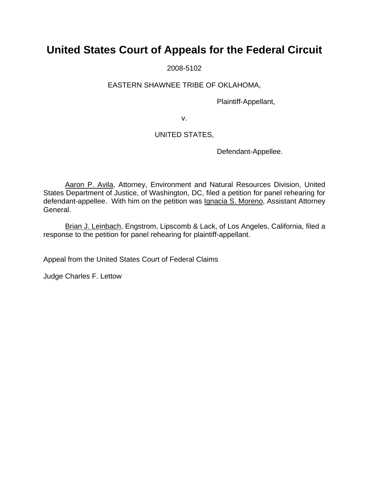# **United States Court of Appeals for the Federal Circuit**

2008-5102

### EASTERN SHAWNEE TRIBE OF OKLAHOMA,

Plaintiff-Appellant,

v.

## UNITED STATES,

Defendant-Appellee.

Aaron P. Avila, Attorney, Environment and Natural Resources Division, United States Department of Justice, of Washington, DC, filed a petition for panel rehearing for defendant-appellee. With him on the petition was *Ignacia S. Moreno*, Assistant Attorney General.

Brian J. Leinbach, Engstrom, Lipscomb & Lack, of Los Angeles, California, filed a response to the petition for panel rehearing for plaintiff-appellant.

Appeal from the United States Court of Federal Claims

Judge Charles F. Lettow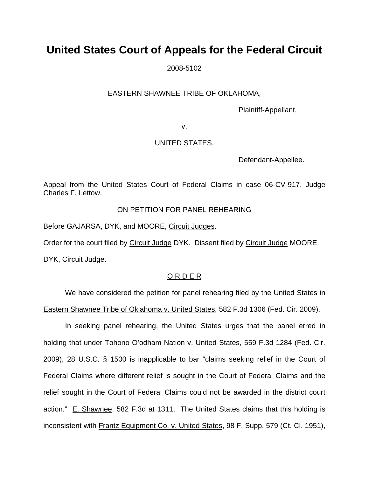# **United States Court of Appeals for the Federal Circuit**

2008-5102

### EASTERN SHAWNEE TRIBE OF OKLAHOMA,

Plaintiff-Appellant,

v.

### UNITED STATES,

Defendant-Appellee.

Appeal from the United States Court of Federal Claims in case 06-CV-917, Judge Charles F. Lettow.

### ON PETITION FOR PANEL REHEARING

Before GAJARSA, DYK, and MOORE, Circuit Judges.

Order for the court filed by Circuit Judge DYK. Dissent filed by Circuit Judge MOORE.

DYK, Circuit Judge.

## O R D E R

We have considered the petition for panel rehearing filed by the United States in Eastern Shawnee Tribe of Oklahoma v. United States, 582 F.3d 1306 (Fed. Cir. 2009).

In seeking panel rehearing, the United States urges that the panel erred in holding that under Tohono O'odham Nation v. United States, 559 F.3d 1284 (Fed. Cir. 2009), 28 U.S.C. § 1500 is inapplicable to bar "claims seeking relief in the Court of Federal Claims where different relief is sought in the Court of Federal Claims and the relief sought in the Court of Federal Claims could not be awarded in the district court action." E. Shawnee, 582 F.3d at 1311. The United States claims that this holding is inconsistent with Frantz Equipment Co. v. United States, 98 F. Supp. 579 (Ct. Cl. 1951),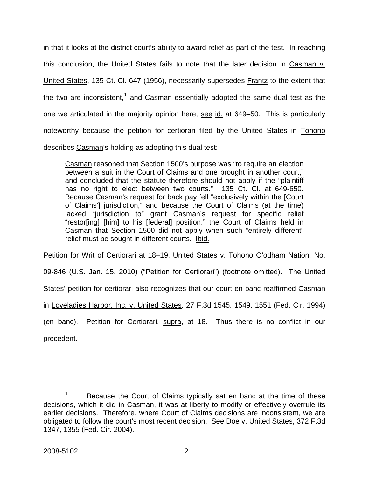in that it looks at the district court's ability to award relief as part of the test. In reaching this conclusion, the United States fails to note that the later decision in Casman v. United States, 135 Ct. Cl. 647 (1956), necessarily supersedes Frantz to the extent that the two are inconsistent,<sup>[1](#page-2-0)</sup> and  $Casman$  essentially adopted the same dual test as the one we articulated in the majority opinion here, see id. at 649–50. This is particularly noteworthy because the petition for certiorari filed by the United States in Tohono describes Casman's holding as adopting this dual test:

Casman reasoned that Section 1500's purpose was "to require an election between a suit in the Court of Claims and one brought in another court," and concluded that the statute therefore should not apply if the "plaintiff has no right to elect between two courts." 135 Ct. Cl. at 649-650. Because Casman's request for back pay fell "exclusively within the [Court of Claims'] jurisdiction," and because the Court of Claims (at the time) lacked "jurisdiction to" grant Casman's request for specific relief "restor[ing] [him] to his [federal] position," the Court of Claims held in Casman that Section 1500 did not apply when such "entirely different" relief must be sought in different courts. Ibid.

Petition for Writ of Certiorari at 18–19, United States v. Tohono O'odham Nation, No. 09-846 (U.S. Jan. 15, 2010) ("Petition for Certiorari") (footnote omitted). The United States' petition for certiorari also recognizes that our court en banc reaffirmed Casman in Loveladies Harbor, Inc. v. United States, 27 F.3d 1545, 1549, 1551 (Fed. Cir. 1994) (en banc). Petition for Certiorari, supra, at 18. Thus there is no conflict in our

precedent.

<span id="page-2-0"></span> <sup>1</sup>  $1$  Because the Court of Claims typically sat en banc at the time of these decisions, which it did in Casman, it was at liberty to modify or effectively overrule its earlier decisions. Therefore, where Court of Claims decisions are inconsistent, we are obligated to follow the court's most recent decision. See Doe v. United States, 372 F.3d 1347, 1355 (Fed. Cir. 2004).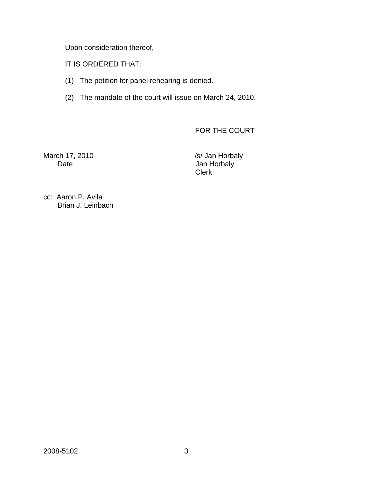Upon consideration thereof,

IT IS ORDERED THAT:

- (1) The petition for panel rehearing is denied.
- (2) The mandate of the court will issue on March 24, 2010.

FOR THE COURT

March 17, 2010 **March 17, 2010** *Islam Horbaly Islam Horbaly* 

Date Jan Horbaly Clerk

cc: Aaron P. Avila Brian J. Leinbach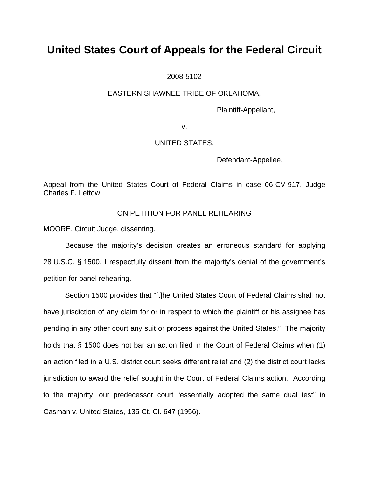# **United States Court of Appeals for the Federal Circuit**

2008-5102

#### EASTERN SHAWNEE TRIBE OF OKLAHOMA,

Plaintiff-Appellant,

v.

#### UNITED STATES,

Defendant-Appellee.

Appeal from the United States Court of Federal Claims in case 06-CV-917, Judge Charles F. Lettow.

### ON PETITION FOR PANEL REHEARING

MOORE, Circuit Judge, dissenting.

Because the majority's decision creates an erroneous standard for applying 28 U.S.C. § 1500, I respectfully dissent from the majority's denial of the government's petition for panel rehearing.

Section 1500 provides that "[t]he United States Court of Federal Claims shall not have jurisdiction of any claim for or in respect to which the plaintiff or his assignee has pending in any other court any suit or process against the United States." The majority holds that § 1500 does not bar an action filed in the Court of Federal Claims when (1) an action filed in a U.S. district court seeks different relief and (2) the district court lacks jurisdiction to award the relief sought in the Court of Federal Claims action. According to the majority, our predecessor court "essentially adopted the same dual test" in Casman v. United States, 135 Ct. Cl. 647 (1956).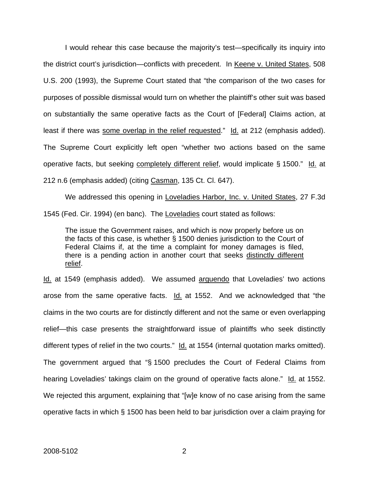I would rehear this case because the majority's test—specifically its inquiry into the district court's jurisdiction—conflicts with precedent. In Keene v. United States, 508 U.S. 200 (1993), the Supreme Court stated that "the comparison of the two cases for purposes of possible dismissal would turn on whether the plaintiff's other suit was based on substantially the same operative facts as the Court of [Federal] Claims action, at least if there was some overlap in the relief requested." Id. at 212 (emphasis added). The Supreme Court explicitly left open "whether two actions based on the same operative facts, but seeking completely different relief, would implicate § 1500." Id. at 212 n.6 (emphasis added) (citing Casman, 135 Ct. Cl. 647).

We addressed this opening in Loveladies Harbor, Inc. v. United States, 27 F.3d 1545 (Fed. Cir. 1994) (en banc). The Loveladies court stated as follows:

The issue the Government raises, and which is now properly before us on the facts of this case, is whether § 1500 denies jurisdiction to the Court of Federal Claims if, at the time a complaint for money damages is filed, there is a pending action in another court that seeks distinctly different relief.

Id. at 1549 (emphasis added). We assumed arguendo that Loveladies' two actions arose from the same operative facts. Id. at 1552. And we acknowledged that "the claims in the two courts are for distinctly different and not the same or even overlapping relief—this case presents the straightforward issue of plaintiffs who seek distinctly different types of relief in the two courts." Id. at 1554 (internal quotation marks omitted). The government argued that "§ 1500 precludes the Court of Federal Claims from hearing Loveladies' takings claim on the ground of operative facts alone." Id. at 1552. We rejected this argument, explaining that "[w]e know of no case arising from the same operative facts in which § 1500 has been held to bar jurisdiction over a claim praying for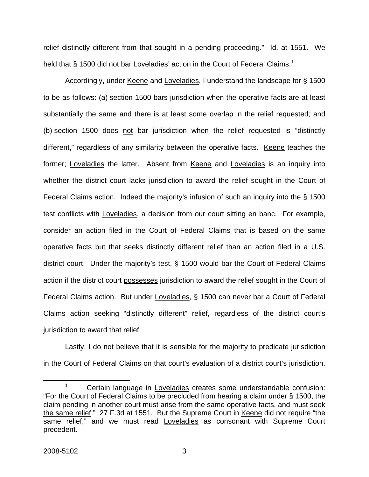relief distinctly different from that sought in a pending proceeding." Id. at 1551. We held that § [1](#page-6-0)500 did not bar Loveladies' action in the Court of Federal Claims.<sup>1</sup>

Accordingly, under Keene and Loveladies, I understand the landscape for § 1500 to be as follows: (a) section 1500 bars jurisdiction when the operative facts are at least substantially the same and there is at least some overlap in the relief requested; and (b) section 1500 does not bar jurisdiction when the relief requested is "distinctly different," regardless of any similarity between the operative facts. Keene teaches the former; Loveladies the latter. Absent from Keene and Loveladies is an inquiry into whether the district court lacks jurisdiction to award the relief sought in the Court of Federal Claims action. Indeed the majority's infusion of such an inquiry into the § 1500 test conflicts with Loveladies, a decision from our court sitting en banc. For example, consider an action filed in the Court of Federal Claims that is based on the same operative facts but that seeks distinctly different relief than an action filed in a U.S. district court. Under the majority's test, § 1500 would bar the Court of Federal Claims action if the district court possesses jurisdiction to award the relief sought in the Court of Federal Claims action. But under Loveladies, § 1500 can never bar a Court of Federal Claims action seeking "distinctly different" relief, regardless of the district court's jurisdiction to award that relief.

Lastly, I do not believe that it is sensible for the majority to predicate jurisdiction in the Court of Federal Claims on that court's evaluation of a district court's jurisdiction.

<span id="page-6-0"></span> <sup>1</sup>  $1 -$  Certain language in Loveladies creates some understandable confusion: "For the Court of Federal Claims to be precluded from hearing a claim under § 1500, the claim pending in another court must arise from the same operative facts, and must seek the same relief." 27 F.3d at 1551. But the Supreme Court in Keene did not require "the same relief," and we must read Loveladies as consonant with Supreme Court precedent.